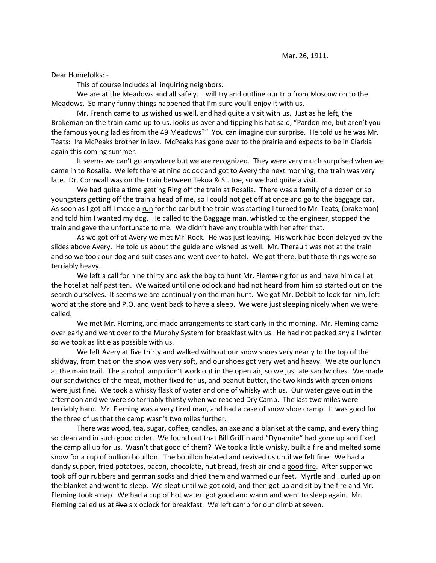Dear Homefolks: -

This of course includes all inquiring neighbors.

We are at the Meadows and all safely. I will try and outline our trip from Moscow on to the Meadows. So many funny things happened that I'm sure you'll enjoy it with us.

Mr. French came to us wished us well, and had quite a visit with us. Just as he left, the Brakeman on the train came up to us, looks us over and tipping his hat said, "Pardon me, but aren't you the famous young ladies from the 49 Meadows?" You can imagine our surprise. He told us he was Mr. Teats: Ira McPeaks brother in law. McPeaks has gone over to the prairie and expects to be in Clarkia again this coming summer.

It seems we can't go anywhere but we are recognized. They were very much surprised when we came in to Rosalia. We left there at nine oclock and got to Avery the next morning, the train was very late. Dr. Cornwall was on the train between Tekoa & St. Joe, so we had quite a visit.

We had quite a time getting Ring off the train at Rosalia. There was a family of a dozen or so youngsters getting off the train a head of me, so I could not get off at once and go to the baggage car. As soon as I got off I made a run for the car but the train was starting I turned to Mr. Teats, (brakeman) and told him I wanted my dog. He called to the Baggage man, whistled to the engineer, stopped the train and gave the unfortunate to me. We didn't have any trouble with her after that.

As we got off at Avery we met Mr. Rock. He was just leaving. His work had been delayed by the slides above Avery. He told us about the guide and wished us well. Mr. Therault was not at the train and so we took our dog and suit cases and went over to hotel. We got there, but those things were so terriably heavy.

We left a call for nine thirty and ask the boy to hunt Mr. Flemming for us and have him call at the hotel at half past ten. We waited until one oclock and had not heard from him so started out on the search ourselves. It seems we are continually on the man hunt. We got Mr. Debbit to look for him, left word at the store and P.O. and went back to have a sleep. We were just sleeping nicely when we were called.

We met Mr. Fleming, and made arrangements to start early in the morning. Mr. Fleming came over early and went over to the Murphy System for breakfast with us. He had not packed any all winter so we took as little as possible with us.

We left Avery at five thirty and walked without our snow shoes very nearly to the top of the skidway, from that on the snow was very soft, and our shoes got very wet and heavy. We ate our lunch at the main trail. The alcohol lamp didn't work out in the open air, so we just ate sandwiches. We made our sandwiches of the meat, mother fixed for us, and peanut butter, the two kinds with green onions were just fine. We took a whisky flask of water and one of whisky with us. Our water gave out in the afternoon and we were so terriably thirsty when we reached Dry Camp. The last two miles were terriably hard. Mr. Fleming was a very tired man, and had a case of snow shoe cramp. It was good for the three of us that the camp wasn't two miles further.

There was wood, tea, sugar, coffee, candles, an axe and a blanket at the camp, and every thing so clean and in such good order. We found out that Bill Griffin and "Dynamite" had gone up and fixed the camp all up for us. Wasn't that good of them? We took a little whisky, built a fire and melted some snow for a cup of bullion bouillon. The bouillon heated and revived us until we felt fine. We had a dandy supper, fried potatoes, bacon, chocolate, nut bread, fresh air and a good fire. After supper we took off our rubbers and german socks and dried them and warmed our feet. Myrtle and I curled up on the blanket and went to sleep. We slept until we got cold, and then got up and sit by the fire and Mr. Fleming took a nap. We had a cup of hot water, got good and warm and went to sleep again. Mr. Fleming called us at five six oclock for breakfast. We left camp for our climb at seven.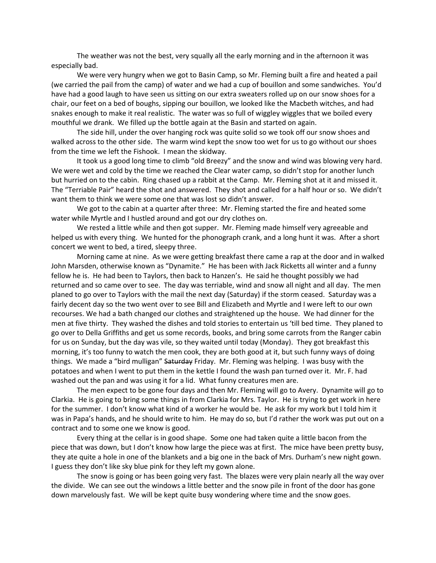The weather was not the best, very squally all the early morning and in the afternoon it was especially bad.

We were very hungry when we got to Basin Camp, so Mr. Fleming built a fire and heated a pail (we carried the pail from the camp) of water and we had a cup of bouillon and some sandwiches. You'd have had a good laugh to have seen us sitting on our extra sweaters rolled up on our snow shoes for a chair, our feet on a bed of boughs, sipping our bouillon, we looked like the Macbeth witches, and had snakes enough to make it real realistic. The water was so full of wiggley wiggles that we boiled every mouthful we drank. We filled up the bottle again at the Basin and started on again.

The side hill, under the over hanging rock was quite solid so we took off our snow shoes and walked across to the other side. The warm wind kept the snow too wet for us to go without our shoes from the time we left the Fishook. I mean the skidway.

It took us a good long time to climb "old Breezy" and the snow and wind was blowing very hard. We were wet and cold by the time we reached the Clear water camp, so didn't stop for another lunch but hurried on to the cabin. Ring chased up a rabbit at the Camp. Mr. Fleming shot at it and missed it. The "Terriable Pair" heard the shot and answered. They shot and called for a half hour or so. We didn't want them to think we were some one that was lost so didn't answer.

We got to the cabin at a quarter after three: Mr. Fleming started the fire and heated some water while Myrtle and I hustled around and got our dry clothes on.

We rested a little while and then got supper. Mr. Fleming made himself very agreeable and helped us with every thing. We hunted for the phonograph crank, and a long hunt it was. After a short concert we went to bed, a tired, sleepy three.

Morning came at nine. As we were getting breakfast there came a rap at the door and in walked John Marsden, otherwise known as "Dynamite." He has been with Jack Ricketts all winter and a funny fellow he is. He had been to Taylors, then back to Hanzen's. He said he thought possibly we had returned and so came over to see. The day was terriable, wind and snow all night and all day. The men planed to go over to Taylors with the mail the next day (Saturday) if the storm ceased. Saturday was a fairly decent day so the two went over to see Bill and Elizabeth and Myrtle and I were left to our own recourses. We had a bath changed our clothes and straightened up the house. We had dinner for the men at five thirty. They washed the dishes and told stories to entertain us 'till bed time. They planed to go over to Della Griffiths and get us some records, books, and bring some carrots from the Ranger cabin for us on Sunday, but the day was vile, so they waited until today (Monday). They got breakfast this morning, it's too funny to watch the men cook, they are both good at it, but such funny ways of doing things. We made a "bird mulligan" Saturday Friday. Mr. Fleming was helping. I was busy with the potatoes and when I went to put them in the kettle I found the wash pan turned over it. Mr. F. had washed out the pan and was using it for a lid. What funny creatures men are.

The men expect to be gone four days and then Mr. Fleming will go to Avery. Dynamite will go to Clarkia. He is going to bring some things in from Clarkia for Mrs. Taylor. He is trying to get work in here for the summer. I don't know what kind of a worker he would be. He ask for my work but I told him it was in Papa's hands, and he should write to him. He may do so, but I'd rather the work was put out on a contract and to some one we know is good.

Every thing at the cellar is in good shape. Some one had taken quite a little bacon from the piece that was down, but I don't know how large the piece was at first. The mice have been pretty busy, they ate quite a hole in one of the blankets and a big one in the back of Mrs. Durham's new night gown. I guess they don't like sky blue pink for they left my gown alone.

The snow is going or has been going very fast. The blazes were very plain nearly all the way over the divide. We can see out the windows a little better and the snow pile in front of the door has gone down marvelously fast. We will be kept quite busy wondering where time and the snow goes.